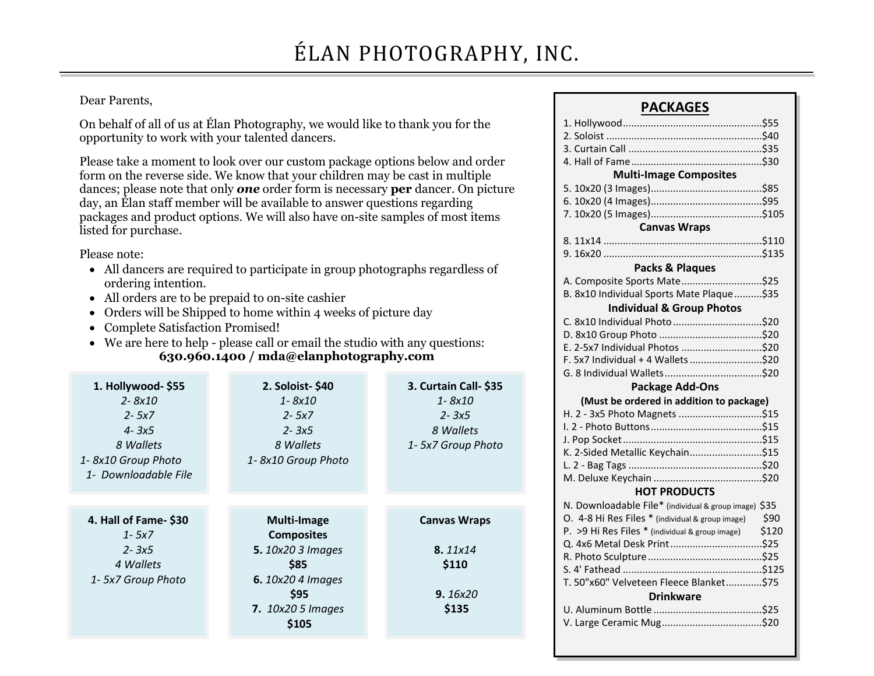## Dear Parents,

On behalf of all of us at Élan Photography, we would like to thank you for the opportunity to work with your talented dancers.

Please take a moment to look over our custom package options below and order form on the reverse side. We know that your children may be cast in multiple dances; please note that only *one* order form is necessary **per** dancer. On picture day, an Élan staff member will be available to answer questions regarding packages and product options. We will also have on-site samples of most items listed for purchase.

Please note:

- All dancers are required to participate in group photographs regardless of ordering intention.
- All orders are to be prepaid to on-site cashier
- Orders will be Shipped to home within 4 weeks of picture day
- Complete Satisfaction Promised!
- We are here to help please call or email the studio with any questions: **630.960.1400 / mda@elanphotography.com**

| 1. Hollywood- \$55<br>2-8x10<br>$2 - 5x7$<br>$4 - 3x5$<br>8 Wallets<br>1-8x10 Group Photo<br>1- Downloadable File | 2. Soloist-\$40<br>$1 - 8x10$<br>$2 - 5x7$<br>$2 - 3x5$<br>8 Wallets<br>1-8x10 Group Photo                                                    | 3. Curtain Call- \$35<br>1-8x10<br>$2 - 3x5$<br>8 Wallets<br>1- 5x7 Group Photo |
|-------------------------------------------------------------------------------------------------------------------|-----------------------------------------------------------------------------------------------------------------------------------------------|---------------------------------------------------------------------------------|
| 4. Hall of Fame-\$30<br>$1 - 5x7$<br>$2 - 3x5$<br>4 Wallets<br>1-5x7 Group Photo                                  | Multi-Image<br><b>Composites</b><br><b>5.</b> 10x20 3 Images<br>\$85<br><b>6.</b> 10x20 4 Images<br>\$95<br><b>7.</b> 10x20 5 Images<br>\$105 | <b>Canvas Wraps</b><br>8.11x14<br>\$110<br>9.16x20<br>\$135                     |

## **PACKAGES**

| <b>Multi-Image Composites</b>                         |       |  |  |  |  |  |  |  |
|-------------------------------------------------------|-------|--|--|--|--|--|--|--|
|                                                       |       |  |  |  |  |  |  |  |
|                                                       |       |  |  |  |  |  |  |  |
|                                                       |       |  |  |  |  |  |  |  |
| <b>Canvas Wraps</b>                                   |       |  |  |  |  |  |  |  |
|                                                       |       |  |  |  |  |  |  |  |
|                                                       |       |  |  |  |  |  |  |  |
| Packs & Plaques                                       |       |  |  |  |  |  |  |  |
| A. Composite Sports Mate\$25                          |       |  |  |  |  |  |  |  |
| B. 8x10 Individual Sports Mate Plaque \$35            |       |  |  |  |  |  |  |  |
| <b>Individual &amp; Group Photos</b>                  |       |  |  |  |  |  |  |  |
|                                                       |       |  |  |  |  |  |  |  |
|                                                       |       |  |  |  |  |  |  |  |
| E. 2-5x7 Individual Photos \$20                       |       |  |  |  |  |  |  |  |
| F. 5x7 Individual + 4 Wallets \$20                    |       |  |  |  |  |  |  |  |
|                                                       |       |  |  |  |  |  |  |  |
| <b>Package Add-Ons</b>                                |       |  |  |  |  |  |  |  |
|                                                       |       |  |  |  |  |  |  |  |
| (Must be ordered in addition to package)              |       |  |  |  |  |  |  |  |
| H. 2 - 3x5 Photo Magnets \$15                         |       |  |  |  |  |  |  |  |
|                                                       |       |  |  |  |  |  |  |  |
|                                                       |       |  |  |  |  |  |  |  |
| K. 2-Sided Metallic Keychain\$15                      |       |  |  |  |  |  |  |  |
|                                                       |       |  |  |  |  |  |  |  |
|                                                       |       |  |  |  |  |  |  |  |
| <b>HOT PRODUCTS</b>                                   |       |  |  |  |  |  |  |  |
| N. Downloadable File* (individual & group image) \$35 |       |  |  |  |  |  |  |  |
| O. 4-8 Hi Res Files * (individual & group image)      | \$90  |  |  |  |  |  |  |  |
| P. > 9 Hi Res Files * (individual & group image)      | \$120 |  |  |  |  |  |  |  |
| Q. 4x6 Metal Desk Print\$25                           |       |  |  |  |  |  |  |  |
|                                                       |       |  |  |  |  |  |  |  |
|                                                       |       |  |  |  |  |  |  |  |
| T. 50"x60" Velveteen Fleece Blanket\$75               |       |  |  |  |  |  |  |  |
| <b>Drinkware</b>                                      |       |  |  |  |  |  |  |  |
|                                                       |       |  |  |  |  |  |  |  |
|                                                       |       |  |  |  |  |  |  |  |